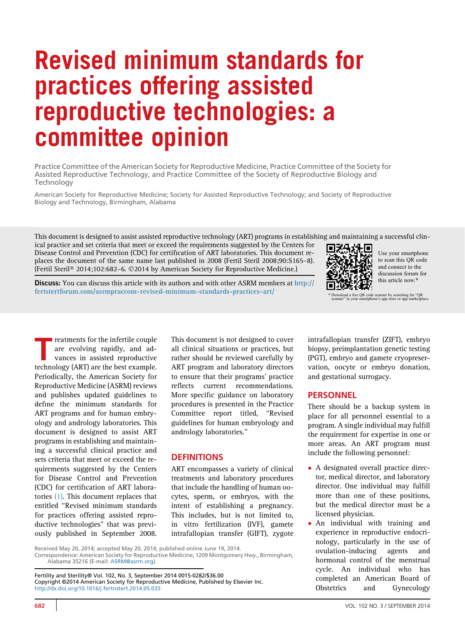# Revised minimum standards for practices offering assisted reproductive technologies: a committee opinion

Practice Committee of the American Society for Reproductive Medicine, Practice Committee of the Society for Assisted Reproductive Technology, and Practice Committee of the Society of Reproductive Biology and Technology

American Society for Reproductive Medicine; Society for Assisted Reproductive Technology; and Society of Reproductive Biology and Technology, Birmingham, Alabama

This document is designed to assist assisted reproductive technology (ART) programs in establishing and maintaining a successful clin-

ical practice and set criteria that meet or exceed the requirements suggested by the Centers for Disease Control and Prevention (CDC) for certification of ART laboratories. This document replaces the document of the same name last published in 2008 (Fertil Steril 2008;90:S165–8). (Fertil Steril® 2014;102:682-6. ©2014 by American Society for Reproductive Medicine.)

Discuss: You can discuss this article with its authors and with other ASRM members at [http://](http://fertstertforum.com/asrmpraccom-revised-minimum-standards-practices-art/) [fertstertforum.com/asrmpraccom-revised-minimum-standards-practices-art/](http://fertstertforum.com/asrmpraccom-revised-minimum-standards-practices-art/)



Use your smartphone to scan this QR code and connect to the discussion forum for this article now.\*

\* Download a free QR code scanner by searching for "QR scanner" in your smartphone's app store or app marketplace.

reatments for the infertile couple are evolving rapidly, and advances in assisted reproductive technology (ART) are the best example. Periodically, the American Society for Reproductive Medicine (ASRM) reviews and publishes updated guidelines to define the minimum standards for ART programs and for human embryology and andrology laboratories. This document is designed to assist ART programs in establishing and maintaining a successful clinical practice and sets criteria that meet or exceed the requirements suggested by the Centers for Disease Control and Prevention (CDC) for certification of ART laboratories [\(1\).](#page-4-0) This document replaces that entitled ''Revised minimum standards for practices offering assisted reproductive technologies'' that was previously published in September 2008. This document is not designed to cover all clinical situations or practices, but rather should be reviewed carefully by ART program and laboratory directors to ensure that their programs' practice reflects current recommendations. More specific guidance on laboratory procedures is presented in the Practice Committee report titled, ''Revised guidelines for human embryology and andrology laboratories.''

# **DEFINITIONS**

ART encompasses a variety of clinical treatments and laboratory procedures that include the handling of human oocytes, sperm, or embryos, with the intent of establishing a pregnancy. This includes, but is not limited to, in vitro fertilization (IVF), gamete intrafallopian transfer (GIFT), zygote

Received May 20, 2014; accepted May 20, 2014; published online June 19, 2014.

Correspondence: American Society for Reproductive Medicine, 1209 Montgomery Hwy., Birmingham, Alabama 35216 (E-mail: [ASRM@asrm.org](mailto:ASRM@asrm.org)).

Fertility and Sterility® Vol. 102, No. 3, September 2014 0015-0282/\$36.00 Copyright ©2014 American Society for Reproductive Medicine, Published by Elsevier Inc. <http://dx.doi.org/10.1016/j.fertnstert.2014.05.035>

intrafallopian transfer (ZIFT), embryo biopsy, preimplantation genetic testing (PGT), embryo and gamete cryopreservation, oocyte or embryo donation, and gestational surrogacy.

#### **PERSONNEL**

There should be a backup system in place for all personnel essential to a program. A single individual may fulfill the requirement for expertise in one or more areas. An ART program must include the following personnel:

- A designated overall practice director, medical director, and laboratory director. One individual may fulfill more than one of these positions, but the medical director must be a licensed physician.
- An individual with training and experience in reproductive endocrinology, particularly in the use of ovulation-inducing agents and hormonal control of the menstrual cycle. An individual who has completed an American Board of Obstetrics and Gynecology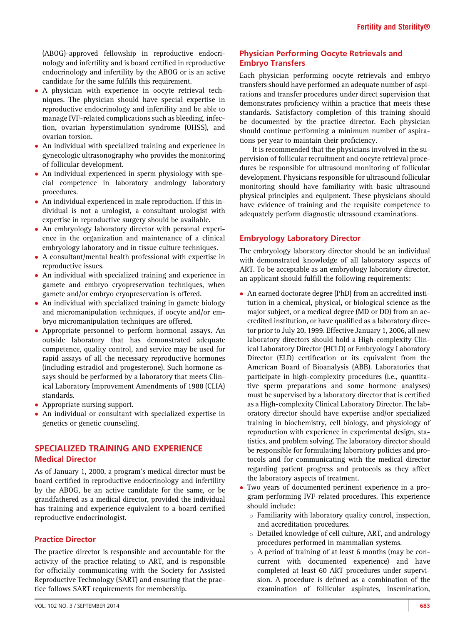(ABOG)-approved fellowship in reproductive endocrinology and infertility and is board certified in reproductive endocrinology and infertility by the ABOG or is an active candidate for the same fulfills this requirement.

- A physician with experience in oocyte retrieval techniques. The physician should have special expertise in reproductive endocrinology and infertility and be able to manage IVF-related complications such as bleeding, infection, ovarian hyperstimulation syndrome (OHSS), and ovarian torsion.
- An individual with specialized training and experience in gynecologic ultrasonography who provides the monitoring of follicular development.
- An individual experienced in sperm physiology with special competence in laboratory andrology laboratory procedures.
- An individual experienced in male reproduction. If this individual is not a urologist, a consultant urologist with expertise in reproductive surgery should be available.
- An embryology laboratory director with personal experience in the organization and maintenance of a clinical embryology laboratory and in tissue culture techniques.
- A consultant/mental health professional with expertise in reproductive issues.
- An individual with specialized training and experience in gamete and embryo cryopreservation techniques, when gamete and/or embryo cryopreservation is offered.
- An individual with specialized training in gamete biology and micromanipulation techniques, if oocyte and/or embryo micromanipulation techniques are offered.
- Appropriate personnel to perform hormonal assays. An outside laboratory that has demonstrated adequate competence, quality control, and service may be used for rapid assays of all the necessary reproductive hormones (including estradiol and progesterone). Such hormone assays should be performed by a laboratory that meets Clinical Laboratory Improvement Amendments of 1988 (CLIA) standards.
- Appropriate nursing support.
- An individual or consultant with specialized expertise in genetics or genetic counseling.

# SPECIALIZED TRAINING AND EXPERIENCE Medical Director

As of January 1, 2000, a program's medical director must be board certified in reproductive endocrinology and infertility by the ABOG, be an active candidate for the same, or be grandfathered as a medical director, provided the individual has training and experience equivalent to a board-certified reproductive endocrinologist.

#### Practice Director

The practice director is responsible and accountable for the activity of the practice relating to ART, and is responsible for officially communicating with the Society for Assisted Reproductive Technology (SART) and ensuring that the practice follows SART requirements for membership.

# Physician Performing Oocyte Retrievals and Embryo Transfers

Each physician performing oocyte retrievals and embryo transfers should have performed an adequate number of aspirations and transfer procedures under direct supervision that demonstrates proficiency within a practice that meets these standards. Satisfactory completion of this training should be documented by the practice director. Each physician should continue performing a minimum number of aspirations per year to maintain their proficiency.

It is recommended that the physicians involved in the supervision of follicular recruitment and oocyte retrieval procedures be responsible for ultrasound monitoring of follicular development. Physicians responsible for ultrasound follicular monitoring should have familiarity with basic ultrasound physical principles and equipment. These physicians should have evidence of training and the requisite competence to adequately perform diagnostic ultrasound examinations.

#### Embryology Laboratory Director

The embryology laboratory director should be an individual with demonstrated knowledge of all laboratory aspects of ART. To be acceptable as an embryology laboratory director, an applicant should fulfill the following requirements:

- An earned doctorate degree (PhD) from an accredited institution in a chemical, physical, or biological science as the major subject, or a medical degree (MD or DO) from an accredited institution, or have qualified as a laboratory director prior to July 20, 1999. Effective January 1, 2006, all new laboratory directors should hold a High-complexity Clinical Laboratory Director (HCLD) or Embryology Laboratory Director (ELD) certification or its equivalent from the American Board of Bioanalysis (ABB). Laboratories that participate in high-complexity procedures (i.e., quantitative sperm preparations and some hormone analyses) must be supervised by a laboratory director that is certified as a High-complexity Clinical Laboratory Director. The laboratory director should have expertise and/or specialized training in biochemistry, cell biology, and physiology of reproduction with experience in experimental design, statistics, and problem solving. The laboratory director should be responsible for formulating laboratory policies and protocols and for communicating with the medical director regarding patient progress and protocols as they affect the laboratory aspects of treatment.
- Two years of documented pertinent experience in a program performing IVF-related procedures. This experience should include:
	- $\circ$  Familiarity with laboratory quality control, inspection, and accreditation procedures.
	- $\circ$  Detailed knowledge of cell culture, ART, and andrology procedures performed in mammalian systems.
	- $\circ$  A period of training of at least 6 months (may be concurrent with documented experience) and have completed at least 60 ART procedures under supervision. A procedure is defined as a combination of the examination of follicular aspirates, insemination,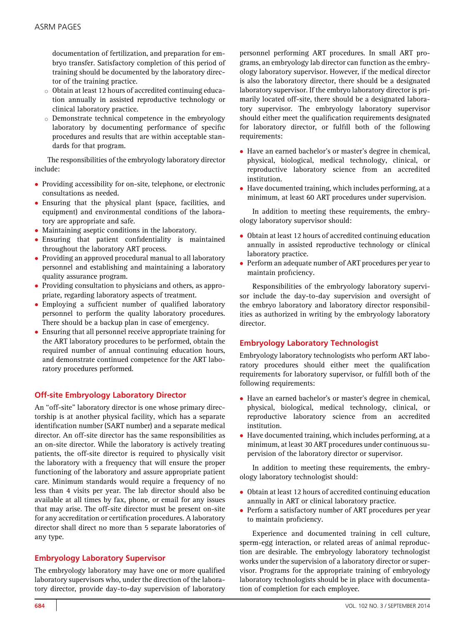documentation of fertilization, and preparation for embryo transfer. Satisfactory completion of this period of training should be documented by the laboratory director of the training practice.

- $\circ$  Obtain at least 12 hours of accredited continuing education annually in assisted reproductive technology or clinical laboratory practice.
- $\circ$  Demonstrate technical competence in the embryology laboratory by documenting performance of specific procedures and results that are within acceptable standards for that program.

The responsibilities of the embryology laboratory director include:

- Providing accessibility for on-site, telephone, or electronic consultations as needed.
- Ensuring that the physical plant (space, facilities, and equipment) and environmental conditions of the laboratory are appropriate and safe.
- Maintaining aseptic conditions in the laboratory.
- Ensuring that patient confidentiality is maintained throughout the laboratory ART process.
- Providing an approved procedural manual to all laboratory personnel and establishing and maintaining a laboratory quality assurance program.
- Providing consultation to physicians and others, as appropriate, regarding laboratory aspects of treatment.
- Employing a sufficient number of qualified laboratory personnel to perform the quality laboratory procedures. There should be a backup plan in case of emergency.
- Ensuring that all personnel receive appropriate training for the ART laboratory procedures to be performed, obtain the required number of annual continuing education hours, and demonstrate continued competence for the ART laboratory procedures performed.

# Off-site Embryology Laboratory Director

An "off-site" laboratory director is one whose primary directorship is at another physical facility, which has a separate identification number (SART number) and a separate medical director. An off-site director has the same responsibilities as an on-site director. While the laboratory is actively treating patients, the off-site director is required to physically visit the laboratory with a frequency that will ensure the proper functioning of the laboratory and assure appropriate patient care. Minimum standards would require a frequency of no less than 4 visits per year. The lab director should also be available at all times by fax, phone, or email for any issues that may arise. The off-site director must be present on-site for any accreditation or certification procedures. A laboratory director shall direct no more than 5 separate laboratories of any type.

# Embryology Laboratory Supervisor

The embryology laboratory may have one or more qualified laboratory supervisors who, under the direction of the laboratory director, provide day-to-day supervision of laboratory personnel performing ART procedures. In small ART programs, an embryology lab director can function as the embryology laboratory supervisor. However, if the medical director is also the laboratory director, there should be a designated laboratory supervisor. If the embryo laboratory director is primarily located off-site, there should be a designated laboratory supervisor. The embryology laboratory supervisor should either meet the qualification requirements designated for laboratory director, or fulfill both of the following requirements:

- Have an earned bachelor's or master's degree in chemical, physical, biological, medical technology, clinical, or reproductive laboratory science from an accredited institution.
- Have documented training, which includes performing, at a minimum, at least 60 ART procedures under supervision.

In addition to meeting these requirements, the embryology laboratory supervisor should:

- Obtain at least 12 hours of accredited continuing education annually in assisted reproductive technology or clinical laboratory practice.
- Perform an adequate number of ART procedures per year to maintain proficiency.

Responsibilities of the embryology laboratory supervisor include the day-to-day supervision and oversight of the embryo laboratory and laboratory director responsibilities as authorized in writing by the embryology laboratory director.

# Embryology Laboratory Technologist

Embryology laboratory technologists who perform ART laboratory procedures should either meet the qualification requirements for laboratory supervisor, or fulfill both of the following requirements:

- Have an earned bachelor's or master's degree in chemical, physical, biological, medical technology, clinical, or reproductive laboratory science from an accredited institution.
- Have documented training, which includes performing, at a minimum, at least 30 ART procedures under continuous supervision of the laboratory director or supervisor.

In addition to meeting these requirements, the embryology laboratory technologist should:

- Obtain at least 12 hours of accredited continuing education annually in ART or clinical laboratory practice.
- Perform a satisfactory number of ART procedures per year to maintain proficiency.

Experience and documented training in cell culture, sperm-egg interaction, or related areas of animal reproduction are desirable. The embryology laboratory technologist works under the supervision of a laboratory director or supervisor. Programs for the appropriate training of embryology laboratory technologists should be in place with documentation of completion for each employee.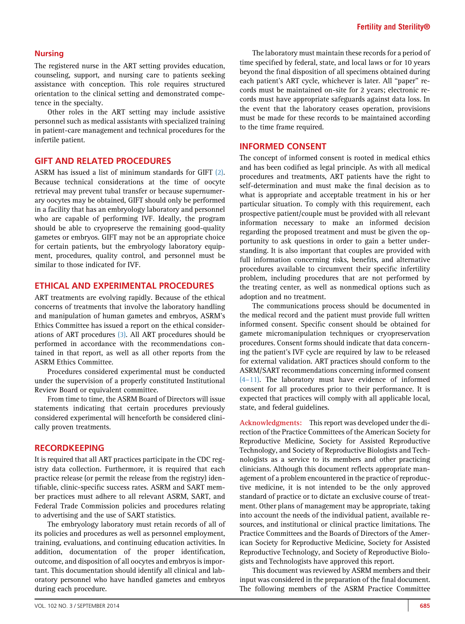#### Nursing

The registered nurse in the ART setting provides education, counseling, support, and nursing care to patients seeking assistance with conception. This role requires structured orientation to the clinical setting and demonstrated competence in the specialty.

Other roles in the ART setting may include assistive personnel such as medical assistants with specialized training in patient-care management and technical procedures for the infertile patient.

#### GIFT AND RELATED PROCEDURES

ASRM has issued a list of minimum standards for GIFT [\(2\).](#page-4-0) Because technical considerations at the time of oocyte retrieval may prevent tubal transfer or because supernumerary oocytes may be obtained, GIFT should only be performed in a facility that has an embryology laboratory and personnel who are capable of performing IVF. Ideally, the program should be able to cryopreserve the remaining good-quality gametes or embryos. GIFT may not be an appropriate choice for certain patients, but the embryology laboratory equipment, procedures, quality control, and personnel must be similar to those indicated for IVF.

# ETHICAL AND EXPERIMENTAL PROCEDURES

ART treatments are evolving rapidly. Because of the ethical concerns of treatments that involve the laboratory handling and manipulation of human gametes and embryos, ASRM's Ethics Committee has issued a report on the ethical considerations of ART procedures [\(3\).](#page-4-0) All ART procedures should be performed in accordance with the recommendations contained in that report, as well as all other reports from the ASRM Ethics Committee.

Procedures considered experimental must be conducted under the supervision of a properly constituted Institutional Review Board or equivalent committee.

From time to time, the ASRM Board of Directors will issue statements indicating that certain procedures previously considered experimental will henceforth be considered clinically proven treatments.

#### RECORDKEEPING

It is required that all ART practices participate in the CDC registry data collection. Furthermore, it is required that each practice release (or permit the release from the registry) identifiable, clinic-specific success rates. ASRM and SART member practices must adhere to all relevant ASRM, SART, and Federal Trade Commission policies and procedures relating to advertising and the use of SART statistics.

The embryology laboratory must retain records of all of its policies and procedures as well as personnel employment, training, evaluations, and continuing education activities. In addition, documentation of the proper identification, outcome, and disposition of all oocytes and embryos is important. This documentation should identify all clinical and laboratory personnel who have handled gametes and embryos during each procedure.

The laboratory must maintain these records for a period of time specified by federal, state, and local laws or for 10 years beyond the final disposition of all specimens obtained during each patient's ART cycle, whichever is later. All ''paper'' records must be maintained on-site for 2 years; electronic records must have appropriate safeguards against data loss. In the event that the laboratory ceases operation, provisions must be made for these records to be maintained according to the time frame required.

#### INFORMED CONSENT

The concept of informed consent is rooted in medical ethics and has been codified as legal principle. As with all medical procedures and treatments, ART patients have the right to self-determination and must make the final decision as to what is appropriate and acceptable treatment in his or her particular situation. To comply with this requirement, each prospective patient/couple must be provided with all relevant information necessary to make an informed decision regarding the proposed treatment and must be given the opportunity to ask questions in order to gain a better understanding. It is also important that couples are provided with full information concerning risks, benefits, and alternative procedures available to circumvent their specific infertility problem, including procedures that are not performed by the treating center, as well as nonmedical options such as adoption and no treatment.

The communications process should be documented in the medical record and the patient must provide full written informed consent. Specific consent should be obtained for gamete micromanipulation techniques or cryopreservation procedures. Consent forms should indicate that data concerning the patient's IVF cycle are required by law to be released for external validation. ART practices should conform to the ASRM/SART recommendations concerning informed consent (4–[11\)](#page-4-0). The laboratory must have evidence of informed consent for all procedures prior to their performance. It is expected that practices will comply with all applicable local, state, and federal guidelines.

Acknowledgments: This report was developed under the direction of the Practice Committees of the American Society for Reproductive Medicine, Society for Assisted Reproductive Technology, and Society of Reproductive Biologists and Technologists as a service to its members and other practicing clinicians. Although this document reflects appropriate management of a problem encountered in the practice of reproductive medicine, it is not intended to be the only approved standard of practice or to dictate an exclusive course of treatment. Other plans of management may be appropriate, taking into account the needs of the individual patient, available resources, and institutional or clinical practice limitations. The Practice Committees and the Boards of Directors of the American Society for Reproductive Medicine, Society for Assisted Reproductive Technology, and Society of Reproductive Biologists and Technologists have approved this report.

This document was reviewed by ASRM members and their input was considered in the preparation of the final document. The following members of the ASRM Practice Committee